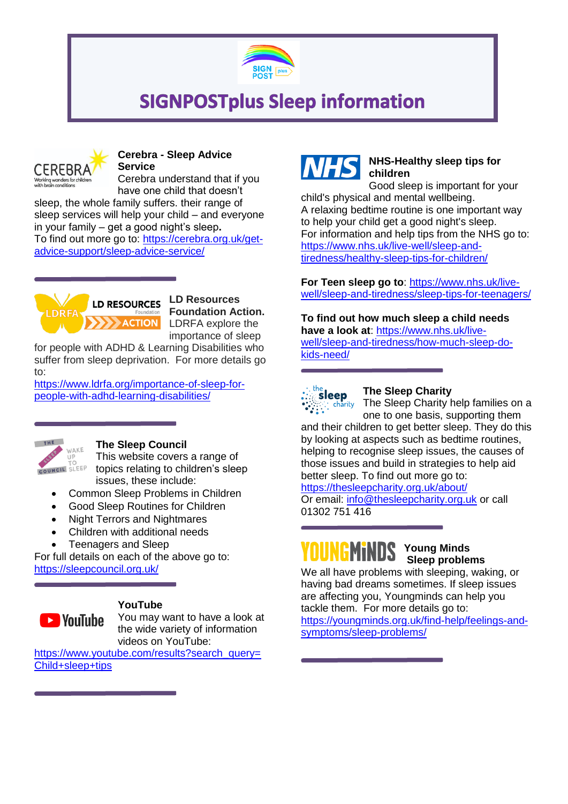

## **SIGNPOSTplus Sleep information**



#### **Cerebra - Sleep Advice Service**

Cerebra understand that if you have one child that doesn't

sleep, the whole family suffers. their range of sleep services will help your child – and everyone in your family – get a good night's sleep**.** To find out more go to: [https://cerebra.org.uk/get](https://cerebra.org.uk/get-advice-support/sleep-advice-service/)[advice-support/sleep-advice-service/](https://cerebra.org.uk/get-advice-support/sleep-advice-service/)



**LD Resources Foundation Action.** LDRFA explore the importance of sleep

for people with ADHD & Learning Disabilities who suffer from sleep deprivation. For more details go to:

[https://www.ldrfa.org/importance-of-sleep-for](https://www.ldrfa.org/importance-of-sleep-for-people-with-adhd-learning-disabilities/)[people-with-adhd-learning-disabilities/](https://www.ldrfa.org/importance-of-sleep-for-people-with-adhd-learning-disabilities/)



#### **The Sleep Council**

This website covers a range of topics relating to children's sleep issues, these include:

- Common Sleep Problems in Children
- Good Sleep Routines for Children
- Night Terrors and Nightmares
- Children with additional needs
- Teenagers and Sleep

For full details on each of the above go to: <https://sleepcouncil.org.uk/>



#### **YouTube**

You may want to have a look at the wide variety of information videos on YouTube:

[https://www.youtube.com/results?search\\_query=](https://www.youtube.com/results?search_query=Child+sleep+tips) [Child+sleep+tips](https://www.youtube.com/results?search_query=Child+sleep+tips)



### **NHS-Healthy sleep tips for children**

Good sleep is important for your child's physical and mental wellbeing. A relaxing bedtime routine is one important way to help your child get a good night's sleep. For information and help tips from the NHS go to: [https://www.nhs.uk/live-well/sleep-and](https://www.nhs.uk/live-well/sleep-and-tiredness/healthy-sleep-tips-for-children/)[tiredness/healthy-sleep-tips-for-children/](https://www.nhs.uk/live-well/sleep-and-tiredness/healthy-sleep-tips-for-children/)

**For Teen sleep go to**: [https://www.nhs.uk/live](https://www.nhs.uk/live-well/sleep-and-tiredness/sleep-tips-for-teenagers/)[well/sleep-and-tiredness/sleep-tips-for-teenagers/](https://www.nhs.uk/live-well/sleep-and-tiredness/sleep-tips-for-teenagers/)

**To find out how much sleep a child needs have a look at**: [https://www.nhs.uk/live](https://www.nhs.uk/live-well/sleep-and-tiredness/how-much-sleep-do-kids-need/)[well/sleep-and-tiredness/how-much-sleep-do](https://www.nhs.uk/live-well/sleep-and-tiredness/how-much-sleep-do-kids-need/)[kids-need/](https://www.nhs.uk/live-well/sleep-and-tiredness/how-much-sleep-do-kids-need/)



#### **The Sleep Charity**

The Sleep Charity help families on a one to one basis, supporting them

and their children to get better sleep. They do this by looking at aspects such as bedtime routines, helping to recognise sleep issues, the causes of those issues and build in strategies to help aid better sleep. To find out more go to:

<https://thesleepcharity.org.uk/about/>

Or email: [info@thesleepcharity.org.uk](mailto:info@thesleepcharity.org.uk) or call 01302 751 416

# YOUNGMiNDS

**Young Minds Sleep problems** 

We all have problems with sleeping, waking, or having bad dreams sometimes. If sleep issues are affecting you, Youngminds can help you tackle them. For more details go to: [https://youngminds.org.uk/find-help/feelings-and](https://youngminds.org.uk/find-help/feelings-and-symptoms/sleep-problems/)[symptoms/sleep-problems/](https://youngminds.org.uk/find-help/feelings-and-symptoms/sleep-problems/)